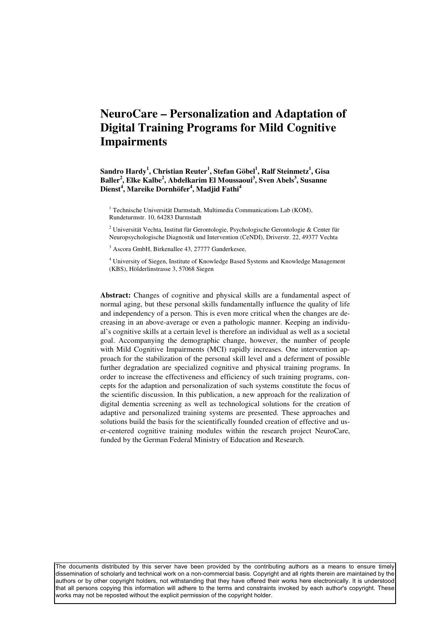# **NeuroCare – Personalization and Adaptation of Digital Training Programs for Mild Cognitive Impairments**

**Sandro Hardy<sup>1</sup> , Christian Reuter<sup>1</sup> , Stefan Göbel<sup>1</sup> , Ralf Steinmetz<sup>1</sup> , Gisa Baller<sup>2</sup> , Elke Kalbe<sup>2</sup> , Abdelkarim El Moussaoui<sup>3</sup> , Sven Abels<sup>3</sup> , Susanne Dienst<sup>4</sup> , Mareike Dornhöfer<sup>4</sup> , Madjid Fathi<sup>4</sup>**

<sup>1</sup> Technische Universität Darmstadt, Multimedia Communications Lab (KOM), Rundeturmstr. 10, 64283 Darmstadt

2 Universität Vechta, Institut für Gerontologie, Psychologische Gerontologie & Center für Neuropsychologische Diagnostik und Intervention (CeNDI), Driverstr. 22, 49377 Vechta

<sup>3</sup> Ascora GmbH, Birkenallee 43, 27777 Ganderkesee,

<sup>4</sup> University of Siegen, Institute of Knowledge Based Systems and Knowledge Management (KBS), Hölderlinstrasse 3, 57068 Siegen

**Abstract:** Changes of cognitive and physical skills are a fundamental aspect of normal aging, but these personal skills fundamentally influence the quality of life and independency of a person. This is even more critical when the changes are decreasing in an above-average or even a pathologic manner. Keeping an individual's cognitive skills at a certain level is therefore an individual as well as a societal goal. Accompanying the demographic change, however, the number of people with Mild Cognitive Impairments (MCI) rapidly increases. One intervention approach for the stabilization of the personal skill level and a deferment of possible further degradation are specialized cognitive and physical training programs. In order to increase the effectiveness and efficiency of such training programs, concepts for the adaption and personalization of such systems constitute the focus of the scientific discussion. In this publication, a new approach for the realization of digital dementia screening as well as technological solutions for the creation of adaptive and personalized training systems are presented. These approaches and solutions build the basis for the scientifically founded creation of effective and user-centered cognitive training modules within the research project NeuroCare, funded by the German Federal Ministry of Education and Research.

The documents distributed by this server have been provided by the contributing authors as a means to ensure timely dissemination of scholarly and technical work on a non-commercial basis. Copyright and all rights therein are maintained by the authors or by other copyright holders, not withstanding that they have offered their works here electronically. It is understood that all persons copying this information will adhere to the terms and constraints invoked by each author's copyright. These works may not be reposted without the explicit permission of the copyright holder.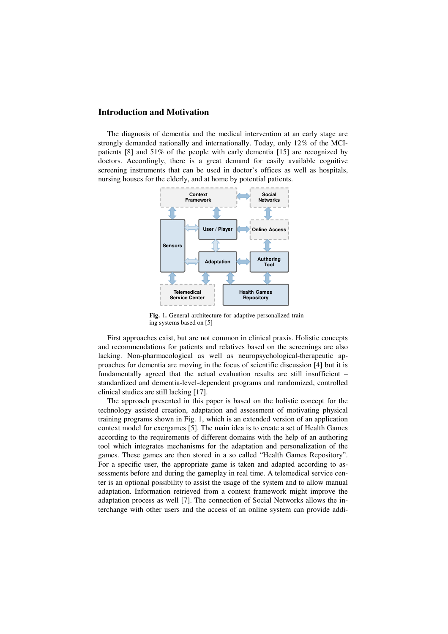# **Introduction and Motivation**

The diagnosis of dementia and the medical intervention at an early stage are strongly demanded nationally and internationally. Today, only 12% of the MCIpatients [8] and 51% of the people with early dementia [15] are recognized by doctors. Accordingly, there is a great demand for easily available cognitive screening instruments that can be used in doctor's offices as well as hospitals, nursing houses for the elderly, and at home by potential patients.



**Fig.** 1**.** General architecture for adaptive personalized training systems based on [5]

First approaches exist, but are not common in clinical praxis. Holistic concepts and recommendations for patients and relatives based on the screenings are also lacking. Non-pharmacological as well as neuropsychological-therapeutic approaches for dementia are moving in the focus of scientific discussion [4] but it is fundamentally agreed that the actual evaluation results are still insufficient – standardized and dementia-level-dependent programs and randomized, controlled clinical studies are still lacking [17].

The approach presented in this paper is based on the holistic concept for the technology assisted creation, adaptation and assessment of motivating physical training programs shown in Fig. 1, which is an extended version of an application context model for exergames [5]. The main idea is to create a set of Health Games according to the requirements of different domains with the help of an authoring tool which integrates mechanisms for the adaptation and personalization of the games. These games are then stored in a so called "Health Games Repository". For a specific user, the appropriate game is taken and adapted according to assessments before and during the gameplay in real time. A telemedical service center is an optional possibility to assist the usage of the system and to allow manual adaptation. Information retrieved from a context framework might improve the adaptation process as well [7]. The connection of Social Networks allows the interchange with other users and the access of an online system can provide addi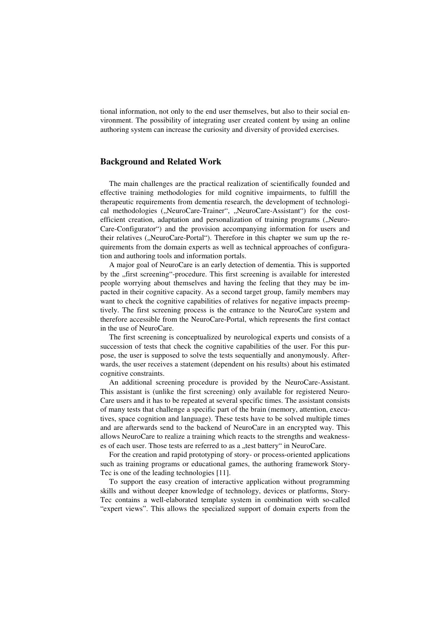tional information, not only to the end user themselves, but also to their social environment. The possibility of integrating user created content by using an online authoring system can increase the curiosity and diversity of provided exercises.

## **Background and Related Work**

The main challenges are the practical realization of scientifically founded and effective training methodologies for mild cognitive impairments, to fulfill the therapeutic requirements from dementia research, the development of technological methodologies ("NeuroCare-Trainer", "NeuroCare-Assistant") for the costefficient creation, adaptation and personalization of training programs ("Neuro-Care-Configurator") and the provision accompanying information for users and their relatives ("NeuroCare-Portal"). Therefore in this chapter we sum up the requirements from the domain experts as well as technical approaches of configuration and authoring tools and information portals.

A major goal of NeuroCare is an early detection of dementia. This is supported by the "first screening"-procedure. This first screening is available for interested people worrying about themselves and having the feeling that they may be impacted in their cognitive capacity. As a second target group, family members may want to check the cognitive capabilities of relatives for negative impacts preemptively. The first screening process is the entrance to the NeuroCare system and therefore accessible from the NeuroCare-Portal, which represents the first contact in the use of NeuroCare.

The first screening is conceptualized by neurological experts und consists of a succession of tests that check the cognitive capabilities of the user. For this purpose, the user is supposed to solve the tests sequentially and anonymously. Afterwards, the user receives a statement (dependent on his results) about his estimated cognitive constraints.

An additional screening procedure is provided by the NeuroCare-Assistant. This assistant is (unlike the first screening) only available for registered Neuro-Care users and it has to be repeated at several specific times. The assistant consists of many tests that challenge a specific part of the brain (memory, attention, executives, space cognition and language). These tests have to be solved multiple times and are afterwards send to the backend of NeuroCare in an encrypted way. This allows NeuroCare to realize a training which reacts to the strengths and weaknesses of each user. Those tests are referred to as a "test battery" in NeuroCare.

For the creation and rapid prototyping of story- or process-oriented applications such as training programs or educational games, the authoring framework Story-Tec is one of the leading technologies [11].

To support the easy creation of interactive application without programming skills and without deeper knowledge of technology, devices or platforms, Story-Tec contains a well-elaborated template system in combination with so-called "expert views". This allows the specialized support of domain experts from the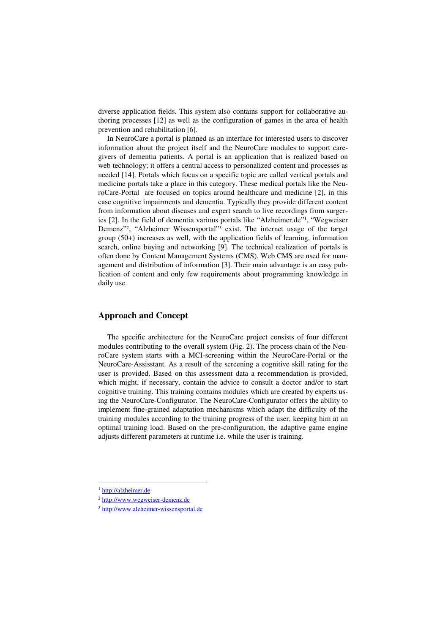diverse application fields. This system also contains support for collaborative authoring processes [12] as well as the configuration of games in the area of health prevention and rehabilitation [6].

In NeuroCare a portal is planned as an interface for interested users to discover information about the project itself and the NeuroCare modules to support caregivers of dementia patients. A portal is an application that is realized based on web technology; it offers a central access to personalized content and processes as needed [14]. Portals which focus on a specific topic are called vertical portals and medicine portals take a place in this category. These medical portals like the NeuroCare-Portal are focused on topics around healthcare and medicine [2], in this case cognitive impairments and dementia. Typically they provide different content from information about diseases and expert search to live recordings from surgeries [2]. In the field of dementia various portals like "Alzheimer.de"<sup>1</sup> , "Wegweiser Demenz"<sup>2</sup>, "Alzheimer Wissensportal"<sup>3</sup> exist. The internet usage of the target group (50+) increases as well, with the application fields of learning, information search, online buying and networking [9]. The technical realization of portals is often done by Content Management Systems (CMS). Web CMS are used for management and distribution of information [3]. Their main advantage is an easy publication of content and only few requirements about programming knowledge in daily use.

# **Approach and Concept**

The specific architecture for the NeuroCare project consists of four different modules contributing to the overall system (Fig. 2). The process chain of the NeuroCare system starts with a MCI-screening within the NeuroCare-Portal or the NeuroCare-Assisstant. As a result of the screening a cognitive skill rating for the user is provided. Based on this assessment data a recommendation is provided, which might, if necessary, contain the advice to consult a doctor and/or to start cognitive training. This training contains modules which are created by experts using the NeuroCare-Configurator. The NeuroCare-Configurator offers the ability to implement fine-grained adaptation mechanisms which adapt the difficulty of the training modules according to the training progress of the user, keeping him at an optimal training load. Based on the pre-configuration, the adaptive game engine adjusts different parameters at runtime i.e. while the user is training.

j

<sup>&</sup>lt;sup>1</sup> http://alzheimer.de

<sup>2</sup> http://www.wegweiser-demenz.de

<sup>3</sup> http://www.alzheimer-wissensportal.de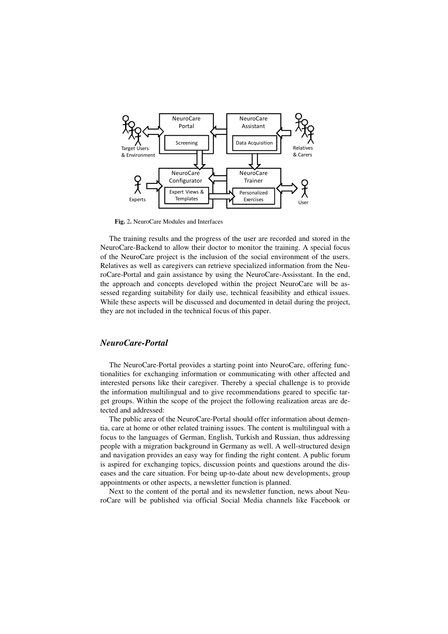

**Fig.** 2**.** NeuroCare Modules and Interfaces

The training results and the progress of the user are recorded and stored in the NeuroCare-Backend to allow their doctor to monitor the training. A special focus of the NeuroCare project is the inclusion of the social environment of the users. Relatives as well as caregivers can retrieve specialized information from the NeuroCare-Portal and gain assistance by using the NeuroCare-Assisstant. In the end, the approach and concepts developed within the project NeuroCare will be assessed regarding suitability for daily use, technical feasibility and ethical issues. While these aspects will be discussed and documented in detail during the project, they are not included in the technical focus of this paper.

# *NeuroCare-Portal*

The NeuroCare-Portal provides a starting point into NeuroCare, offering functionalities for exchanging information or communicating with other affected and interested persons like their caregiver. Thereby a special challenge is to provide the information multilingual and to give recommendations geared to specific target groups. Within the scope of the project the following realization areas are detected and addressed:

The public area of the NeuroCare-Portal should offer information about dementia, care at home or other related training issues. The content is multilingual with a focus to the languages of German, English, Turkish and Russian, thus addressing people with a migration background in Germany as well. A well-structured design and navigation provides an easy way for finding the right content. A public forum is aspired for exchanging topics, discussion points and questions around the diseases and the care situation. For being up-to-date about new developments, group appointments or other aspects, a newsletter function is planned.

Next to the content of the portal and its newsletter function, news about NeuroCare will be published via official Social Media channels like Facebook or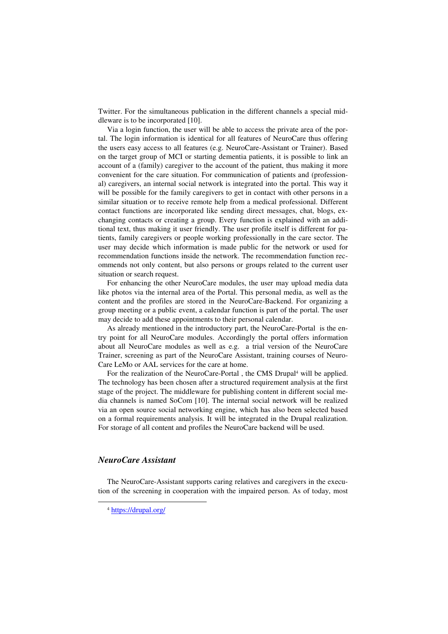Twitter. For the simultaneous publication in the different channels a special middleware is to be incorporated [10].

Via a login function, the user will be able to access the private area of the portal. The login information is identical for all features of NeuroCare thus offering the users easy access to all features (e.g. NeuroCare-Assistant or Trainer). Based on the target group of MCI or starting dementia patients, it is possible to link an account of a (family) caregiver to the account of the patient, thus making it more convenient for the care situation. For communication of patients and (professional) caregivers, an internal social network is integrated into the portal. This way it will be possible for the family caregivers to get in contact with other persons in a similar situation or to receive remote help from a medical professional. Different contact functions are incorporated like sending direct messages, chat, blogs, exchanging contacts or creating a group. Every function is explained with an additional text, thus making it user friendly. The user profile itself is different for patients, family caregivers or people working professionally in the care sector. The user may decide which information is made public for the network or used for recommendation functions inside the network. The recommendation function recommends not only content, but also persons or groups related to the current user situation or search request.

For enhancing the other NeuroCare modules, the user may upload media data like photos via the internal area of the Portal. This personal media, as well as the content and the profiles are stored in the NeuroCare-Backend. For organizing a group meeting or a public event, a calendar function is part of the portal. The user may decide to add these appointments to their personal calendar.

As already mentioned in the introductory part, the NeuroCare-Portal is the entry point for all NeuroCare modules. Accordingly the portal offers information about all NeuroCare modules as well as e.g. a trial version of the NeuroCare Trainer, screening as part of the NeuroCare Assistant, training courses of Neuro-Care LeMo or AAL services for the care at home.

For the realization of the NeuroCare-Portal, the CMS Drupal<sup>4</sup> will be applied. The technology has been chosen after a structured requirement analysis at the first stage of the project. The middleware for publishing content in different social media channels is named SoCom [10]. The internal social network will be realized via an open source social networking engine, which has also been selected based on a formal requirements analysis. It will be integrated in the Drupal realization. For storage of all content and profiles the NeuroCare backend will be used.

# *NeuroCare Assistant*

The NeuroCare-Assistant supports caring relatives and caregivers in the execution of the screening in cooperation with the impaired person. As of today, most

-

<sup>4</sup> https://drupal.org/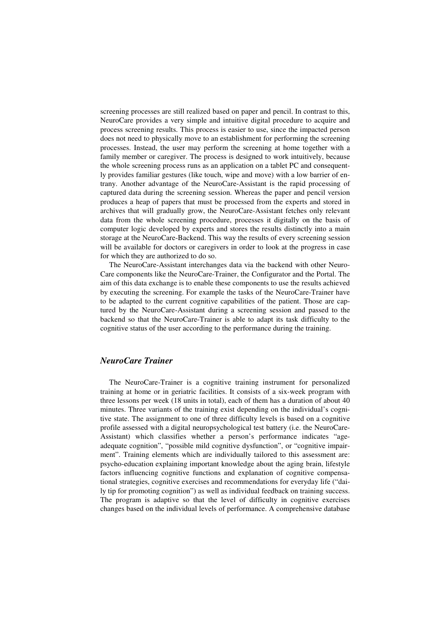screening processes are still realized based on paper and pencil. In contrast to this, NeuroCare provides a very simple and intuitive digital procedure to acquire and process screening results. This process is easier to use, since the impacted person does not need to physically move to an establishment for performing the screening processes. Instead, the user may perform the screening at home together with a family member or caregiver. The process is designed to work intuitively, because the whole screening process runs as an application on a tablet PC and consequently provides familiar gestures (like touch, wipe and move) with a low barrier of entrany. Another advantage of the NeuroCare-Assistant is the rapid processing of captured data during the screening session. Whereas the paper and pencil version produces a heap of papers that must be processed from the experts and stored in archives that will gradually grow, the NeuroCare-Assistant fetches only relevant data from the whole screening procedure, processes it digitally on the basis of computer logic developed by experts and stores the results distinctly into a main storage at the NeuroCare-Backend. This way the results of every screening session will be available for doctors or caregivers in order to look at the progress in case for which they are authorized to do so.

The NeuroCare-Assistant interchanges data via the backend with other Neuro-Care components like the NeuroCare-Trainer, the Configurator and the Portal. The aim of this data exchange is to enable these components to use the results achieved by executing the screening. For example the tasks of the NeuroCare-Trainer have to be adapted to the current cognitive capabilities of the patient. Those are captured by the NeuroCare-Assistant during a screening session and passed to the backend so that the NeuroCare-Trainer is able to adapt its task difficulty to the cognitive status of the user according to the performance during the training.

# *NeuroCare Trainer*

The NeuroCare-Trainer is a cognitive training instrument for personalized training at home or in geriatric facilities. It consists of a six-week program with three lessons per week (18 units in total), each of them has a duration of about 40 minutes. Three variants of the training exist depending on the individual's cognitive state. The assignment to one of three difficulty levels is based on a cognitive profile assessed with a digital neuropsychological test battery (i.e. the NeuroCare-Assistant) which classifies whether a person's performance indicates "ageadequate cognition", "possible mild cognitive dysfunction", or "cognitive impairment". Training elements which are individually tailored to this assessment are: psycho-education explaining important knowledge about the aging brain, lifestyle factors influencing cognitive functions and explanation of cognitive compensational strategies, cognitive exercises and recommendations for everyday life ("daily tip for promoting cognition") as well as individual feedback on training success. The program is adaptive so that the level of difficulty in cognitive exercises changes based on the individual levels of performance. A comprehensive database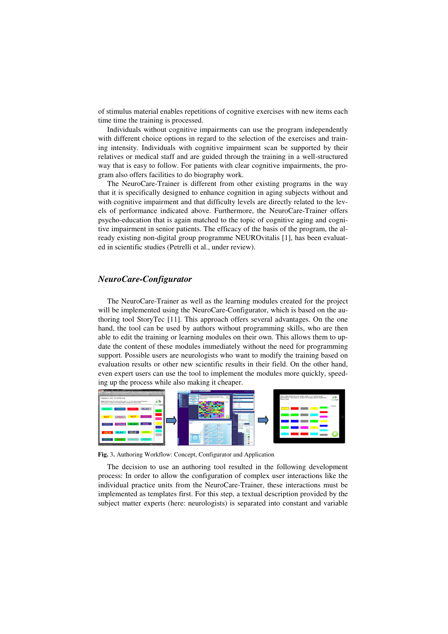of stimulus material enables repetitions of cognitive exercises with new items each time time the training is processed.

Individuals without cognitive impairments can use the program independently with different choice options in regard to the selection of the exercises and training intensity. Individuals with cognitive impairment scan be supported by their relatives or medical staff and are guided through the training in a well-structured way that is easy to follow. For patients with clear cognitive impairments, the program also offers facilities to do biography work.

The NeuroCare-Trainer is different from other existing programs in the way that it is specifically designed to enhance cognition in aging subjects without and with cognitive impairment and that difficulty levels are directly related to the levels of performance indicated above. Furthermore, the NeuroCare-Trainer offers psycho-education that is again matched to the topic of cognitive aging and cognitive impairment in senior patients. The efficacy of the basis of the program, the already existing non-digital group programme NEUROvitalis [1], has been evaluated in scientific studies (Petrelli et al., under review).

### *NeuroCare-Configurator*

The NeuroCare-Trainer as well as the learning modules created for the project will be implemented using the NeuroCare-Configurator, which is based on the authoring tool StoryTec [11]. This approach offers several advantages. On the one hand, the tool can be used by authors without programming skills, who are then able to edit the training or learning modules on their own. This allows them to update the content of these modules immediately without the need for programming support. Possible users are neurologists who want to modify the training based on evaluation results or other new scientific results in their field. On the other hand, even expert users can use the tool to implement the modules more quickly, speeding up the process while also making it cheaper.



**Fig.** 3**.** Authoring Workflow: Concept, Configurator and Application

The decision to use an authoring tool resulted in the following development process: In order to allow the configuration of complex user interactions like the individual practice units from the NeuroCare-Trainer, these interactions must be implemented as templates first. For this step, a textual description provided by the subject matter experts (here: neurologists) is separated into constant and variable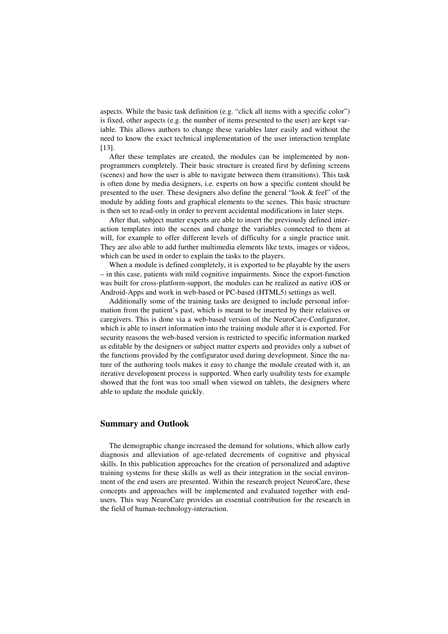aspects. While the basic task definition (e.g. "click all items with a specific color") is fixed, other aspects (e.g. the number of items presented to the user) are kept variable. This allows authors to change these variables later easily and without the need to know the exact technical implementation of the user interaction template [13].

After these templates are created, the modules can be implemented by nonprogrammers completely. Their basic structure is created first by defining screens (scenes) and how the user is able to navigate between them (transitions). This task is often done by media designers, i.e. experts on how a specific content should be presented to the user. These designers also define the general "look & feel" of the module by adding fonts and graphical elements to the scenes. This basic structure is then set to read-only in order to prevent accidental modifications in later steps.

After that, subject matter experts are able to insert the previously defined interaction templates into the scenes and change the variables connected to them at will, for example to offer different levels of difficulty for a single practice unit. They are also able to add further multimedia elements like texts, images or videos, which can be used in order to explain the tasks to the players.

When a module is defined completely, it is exported to be playable by the users – in this case, patients with mild cognitive impairments. Since the export-function was built for cross-platform-support, the modules can be realized as native iOS or Android-Apps and work in web-based or PC-based (HTML5) settings as well.

Additionally some of the training tasks are designed to include personal information from the patient's past, which is meant to be inserted by their relatives or caregivers. This is done via a web-based version of the NeuroCare-Configurator, which is able to insert information into the training module after it is exported. For security reasons the web-based version is restricted to specific information marked as editable by the designers or subject matter experts and provides only a subset of the functions provided by the configurator used during development. Since the nature of the authoring tools makes it easy to change the module created with it, an iterative development process is supported. When early usability tests for example showed that the font was too small when viewed on tablets, the designers where able to update the module quickly.

#### **Summary and Outlook**

The demographic change increased the demand for solutions, which allow early diagnosis and alleviation of age-related decrements of cognitive and physical skills. In this publication approaches for the creation of personalized and adaptive training systems for these skills as well as their integration in the social environment of the end users are presented. Within the research project NeuroCare, these concepts and approaches will be implemented and evaluated together with endusers. This way NeuroCare provides an essential contribution for the research in the field of human-technology-interaction.